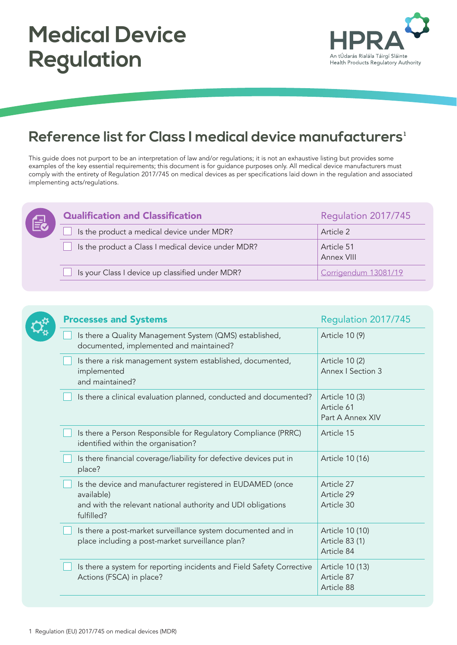

## **Reference list for Class I medical device manufacturers 1**

This guide does not purport to be an interpretation of law and/or regulations; it is not an exhaustive listing but provides some examples of the key essential requirements; this document is for guidance purposes only. All medical device manufacturers must comply with the entirety of Regulation 2017/745 on medical devices as per specifications laid down in the regulation and associated implementing acts/regulations.

| $\blacktriangleleft$ | <b>Qualification and Classification</b>            | Regulation 2017/745      |
|----------------------|----------------------------------------------------|--------------------------|
|                      | Is the product a medical device under MDR?         | Article 2                |
|                      | Is the product a Class I medical device under MDR? | Article 51<br>Annex VIII |
|                      | Is your Class I device up classified under MDR?    | Corrigendum 13081/19     |

|  | <b>Processes and Systems</b>                                                                                                                           | Regulation 2017/745                              |
|--|--------------------------------------------------------------------------------------------------------------------------------------------------------|--------------------------------------------------|
|  | Is there a Quality Management System (QMS) established,<br>documented, implemented and maintained?                                                     | Article 10 (9)                                   |
|  | Is there a risk management system established, documented,<br>implemented<br>and maintained?                                                           | Article 10 (2)<br>Annex   Section 3              |
|  | Is there a clinical evaluation planned, conducted and documented?                                                                                      | Article 10 (3)<br>Article 61<br>Part A Annex XIV |
|  | Is there a Person Responsible for Regulatory Compliance (PRRC)<br>identified within the organisation?                                                  | Article 15                                       |
|  | Is there financial coverage/liability for defective devices put in<br>place?                                                                           | Article 10 (16)                                  |
|  | Is the device and manufacturer registered in EUDAMED (once<br>available)<br>and with the relevant national authority and UDI obligations<br>fulfilled? | Article 27<br>Article 29<br>Article 30           |
|  | Is there a post-market surveillance system documented and in<br>place including a post-market surveillance plan?                                       | Article 10 (10)<br>Article 83 (1)<br>Article 84  |
|  | Is there a system for reporting incidents and Field Safety Corrective<br>Actions (FSCA) in place?                                                      | Article 10 (13)<br>Article 87<br>Article 88      |